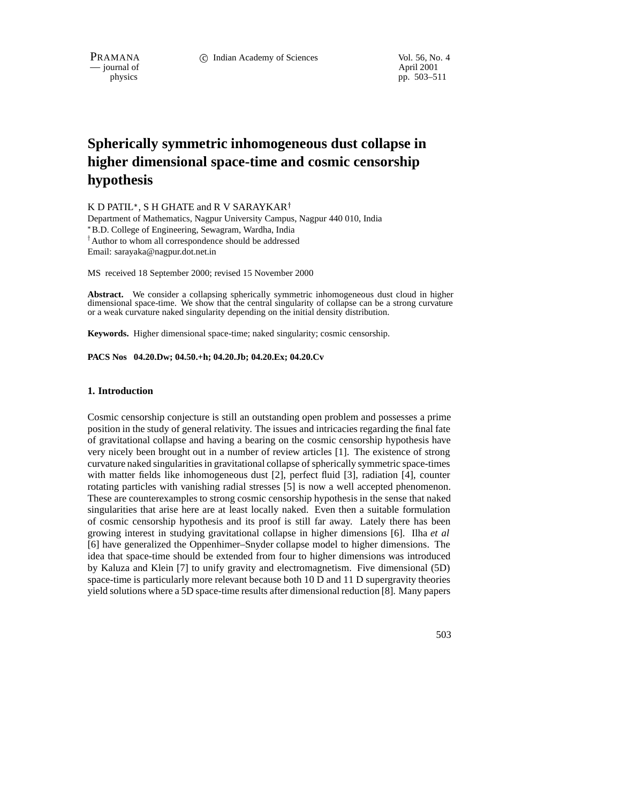$-$  journal of

physics pp. 503–511

# **Spherically symmetric inhomogeneous dust collapse in higher dimensional space-time and cosmic censorship hypothesis**

K D PATIL\*, S H GHATE and R V SARAYKAR†

Department of Mathematics, Nagpur University Campus, Nagpur 440 010, India B.D. College of Engineering, Sewagram, Wardha, India <sup>†</sup> Author to whom all correspondence should be addressed Email: sarayaka@nagpur.dot.net.in

MS received 18 September 2000; revised 15 November 2000

**Abstract.** We consider a collapsing spherically symmetric inhomogeneous dust cloud in higher dimensional space-time. We show that the central singularity of collapse can be a strong curvature or a weak curvature naked singularity depending on the initial density distribution.

**Keywords.** Higher dimensional space-time; naked singularity; cosmic censorship.

#### **PACS Nos 04.20.Dw; 04.50.+h; 04.20.Jb; 04.20.Ex; 04.20.Cv**

## **1. Introduction**

Cosmic censorship conjecture is still an outstanding open problem and possesses a prime position in the study of general relativity. The issues and intricacies regarding the final fate of gravitational collapse and having a bearing on the cosmic censorship hypothesis have very nicely been brought out in a number of review articles [1]. The existence of strong curvature naked singularities in gravitational collapse of spherically symmetric space-times with matter fields like inhomogeneous dust [2], perfect fluid [3], radiation [4], counter rotating particles with vanishing radial stresses [5] is now a well accepted phenomenon. These are counterexamples to strong cosmic censorship hypothesis in the sense that naked singularities that arise here are at least locally naked. Even then a suitable formulation of cosmic censorship hypothesis and its proof is still far away. Lately there has been growing interest in studying gravitational collapse in higher dimensions [6]. Ilha *et al* [6] have generalized the Oppenhimer–Snyder collapse model to higher dimensions. The idea that space-time should be extended from four to higher dimensions was introduced by Kaluza and Klein [7] to unify gravity and electromagnetism. Five dimensional (5D) space-time is particularly more relevant because both 10 D and 11 D supergravity theories yield solutions where a 5D space-time results after dimensional reduction [8]. Many papers

503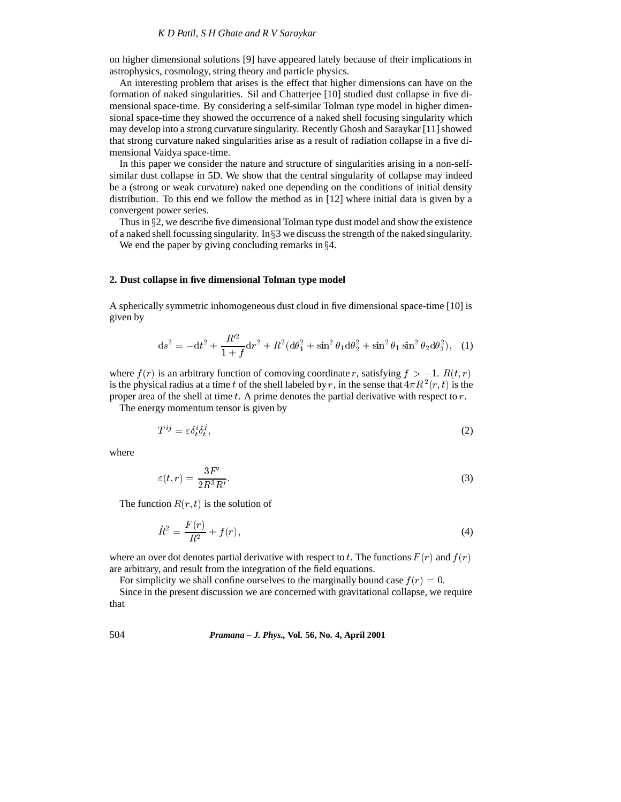on higher dimensional solutions [9] have appeared lately because of their implications in astrophysics, cosmology, string theory and particle physics.

An interesting problem that arises is the effect that higher dimensions can have on the formation of naked singularities. Sil and Chatterjee [10] studied dust collapse in five dimensional space-time. By considering a self-similar Tolman type model in higher dimensional space-time they showed the occurrence of a naked shell focusing singularity which may develop into a strong curvature singularity. Recently Ghosh and Saraykar [11] showed that strong curvature naked singularities arise as a result of radiation collapse in a five dimensional Vaidya space-time.

In this paper we consider the nature and structure of singularities arising in a non-selfsimilar dust collapse in 5D. We show that the central singularity of collapse may indeed be a (strong or weak curvature) naked one depending on the conditions of initial density distribution. To this end we follow the method as in [12] where initial data is given by a convergent power series.

Thus in  $\S2$ , we describe five dimensional Tolman type dust model and show the existence of a naked shell focussing singularity. In  $\S 3$  we discuss the strength of the naked singularity.

We end the paper by giving concluding remarks in  $\S 4$ .

#### **2. Dust collapse in five dimensional Tolman type model**

A spherically symmetric inhomogeneous dust cloud in five dimensional space-time [10] is given by

$$
ds^{2} = -dt^{2} + \frac{R'^{2}}{1+f}dr^{2} + R^{2}(d\theta_{1}^{2} + \sin^{2}\theta_{1}d\theta_{2}^{2} + \sin^{2}\theta_{1}\sin^{2}\theta_{2}d\theta_{3}^{2}), \quad (1)
$$

where  $f(r)$  is an arbitrary function of comoving coordinate r, satisfying  $f > -1$ .  $R(t, r)$ is the physical radius at a time t of the shell labeled by r, in the sense that  $4\pi R^2(r, t)$  is the proper area of the shell at time  $t$ . A prime denotes the partial derivative with respect to  $r$ .

The energy momentum tensor is given by

$$
T^{ij} = \varepsilon \delta^i_t \delta^j_t,\tag{2}
$$

where

$$
\varepsilon(t,r) = \frac{3F'}{2R^3R'}.\tag{3}
$$

The function  $R(r, t)$  is the solution of

$$
\dot{R}^2 = \frac{F(r)}{R^2} + f(r),\tag{4}
$$

where an over dot denotes partial derivative with respect to t. The functions  $F(r)$  and  $f(r)$ are arbitrary, and result from the integration of the field equations.

For simplicity we shall confine ourselves to the marginally bound case  $f(r)=0$ .

Since in the present discussion we are concerned with gravitational collapse, we require that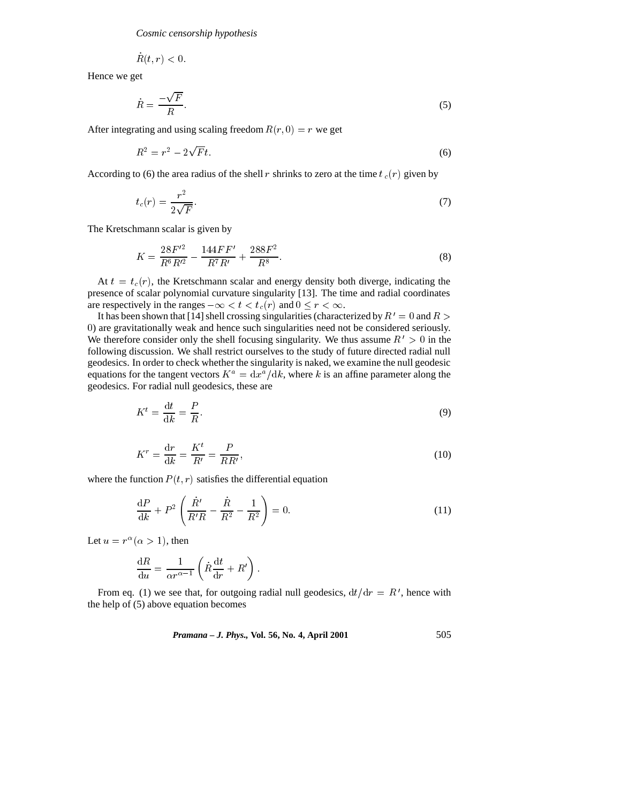*Cosmic censorship hypothesis*

$$
R(t,r)<0.
$$

Hence we get

$$
\dot{R} = \frac{-\sqrt{F}}{R}.\tag{5}
$$

After integrating and using scaling freedom  $R(r, 0) = r$  we get

$$
R^2 = r^2 - 2\sqrt{F}t.\tag{6}
$$

According to (6) the area radius of the shell r shrinks to zero at the time  $t_c(r)$  given by

$$
t_c(r) = \frac{r^2}{2\sqrt{F}}.\tag{7}
$$

The Kretschmann scalar is given by

$$
K = \frac{28F'^2}{R^6R'^2} - \frac{144FF'}{R^7R'} + \frac{288F^2}{R^8}.
$$
\n(8)

At  $t = t_c(r)$ , the Kretschmann scalar and energy density both diverge, indicating the presence of scalar polynomial curvature singularity [13]. The time and radial coordinates are respectively in the ranges  $-\infty < t < t_c(r)$  and  $0 \le r < \infty$ .

It has been shown that [14] shell crossing singularities (characterized by  $R' = 0$  and  $R > 0$ <sup>0</sup>) are gravitationally weak and hence such singularities need not be considered seriously. We therefore consider only the shell focusing singularity. We thus assume  $R' > 0$  in the following discussion. We shall restrict ourselves to the study of future directed radial null geodesics. In order to check whether the singularity is naked, we examine the null geodesic equations for the tangent vectors  $K^a = dx^a/dk$ , where k is an affine parameter along the geodesics. For radial null geodesics, these are

$$
K^t = \frac{\mathrm{d}t}{\mathrm{d}k} = \frac{P}{R}.\tag{9}
$$

$$
K^r = \frac{\mathrm{d}r}{\mathrm{d}k} = \frac{K^t}{R'} = \frac{P}{RR'},\tag{10}
$$

where the function  $P(t, r)$  satisfies the differential equation

$$
\frac{dP}{dk} + P^2 \left( \frac{\dot{R}'}{R'R} - \frac{\dot{R}}{R^2} - \frac{1}{R^2} \right) = 0.
$$
 (11)

Let  $u = r^{\alpha} (\alpha > 1)$ , then

$$
\frac{\mathrm{d}R}{\mathrm{d}u} = \frac{1}{\alpha r^{\alpha - 1}} \left( \dot{R} \frac{\mathrm{d}t}{\mathrm{d}r} + R' \right).
$$

From eq. (1) we see that, for outgoing radial null geodesics,  $dt/dr = R'$ , hence with the help of (5) above equation becomes

*Pramana – J. Phys.,* **Vol. 56, No. 4, April 2001** 505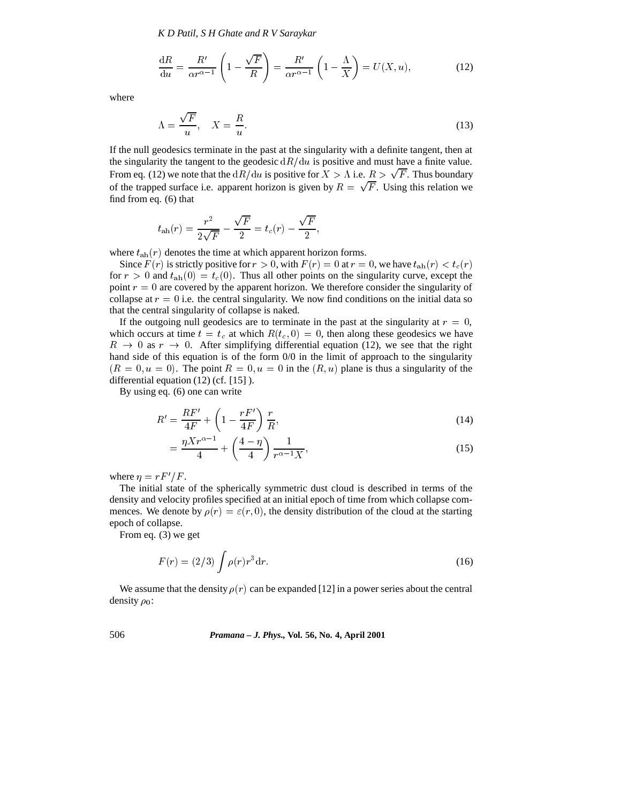*K D Patil, S H Ghate and R V Saraykar*

$$
\frac{\mathrm{d}R}{\mathrm{d}u} = \frac{R'}{\alpha r^{\alpha - 1}} \left( 1 - \frac{\sqrt{F}}{R} \right) = \frac{R'}{\alpha r^{\alpha - 1}} \left( 1 - \frac{\Lambda}{X} \right) = U(X, u),\tag{12}
$$

where

$$
\Lambda = \frac{\sqrt{F}}{u}, \quad X = \frac{R}{u}.\tag{13}
$$

If the null geodesics terminate in the past at the singularity with a definite tangent, then at the singularity the tangent to the geodesic  $dR/du$  is positive and must have a finite value. From eq. (12) we note that the  $dR/du$  is positive for  $X > \Lambda$  i.e.  $R > \sqrt{F}$ . Thus boundary of the trapped surface i.e. apparent horizon is given by  $R = \sqrt{F}$ . Using this relation we find from eq. (6) that

$$
t_{\rm ah}(r)=\frac{r^2}{2\sqrt{F}}-\frac{\sqrt{F}}{2}=t_c(r)-\frac{\sqrt{F}}{2},
$$

where  $t_{\text{ah}}(r)$  denotes the time at which apparent horizon forms.

Since  $F(r)$  is strictly positive for  $r > 0$ , with  $F(r) = 0$  at  $r = 0$ , we have  $t_{\rm ah}(r) < t_c(r)$ for  $r > 0$  and  $t_{\rm ah}(0) = t_c(0)$ . Thus all other points on the singularity curve, except the point  $r = 0$  are covered by the apparent horizon. We therefore consider the singularity of collapse at  $r = 0$  i.e. the central singularity. We now find conditions on the initial data so that the central singularity of collapse is naked.

If the outgoing null geodesics are to terminate in the past at the singularity at  $r = 0$ , which occurs at time  $t = t_c$  at which  $R(t_c, 0) = 0$ , then along these geodesics we have  $R \rightarrow 0$  as  $r \rightarrow 0$ . After simplifying differential equation (12), we see that the right hand side of this equation is of the form 0/0 in the limit of approach to the singularity  $(R = 0, u = 0)$ . The point  $R = 0, u = 0$  in the  $(R, u)$  plane is thus a singularity of the differential equation (12) (cf. [15] ).

By using eq. (6) one can write

$$
R' = \frac{RF'}{4F} + \left(1 - \frac{rF'}{4F}\right)\frac{r}{R},\tag{14}
$$

$$
=\frac{\eta Xr^{\alpha-1}}{4}+\left(\frac{4-\eta}{4}\right)\frac{1}{r^{\alpha-1}X},\tag{15}
$$

where  $\eta = rF'/F$ .

The initial state of the spherically symmetric dust cloud is described in terms of the density and velocity profiles specified at an initial epoch of time from which collapse commences. We denote by  $\rho(r) = \varepsilon(r, 0)$ , the density distribution of the cloud at the starting epoch of collapse.

From eq. (3) we get

$$
F(r) = (2/3) \int \rho(r) r^3 \mathrm{d}r. \tag{16}
$$

We assume that the density  $\rho(r)$  can be expanded [12] in a power series about the central density  $\rho_0$ :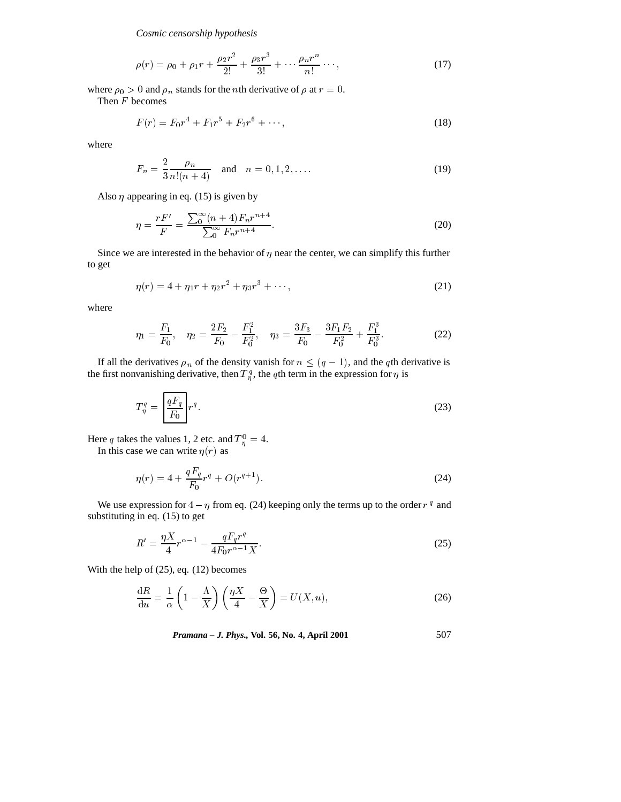*Cosmic censorship hypothesis*

$$
\rho(r) = \rho_0 + \rho_1 r + \frac{\rho_2 r^2}{2!} + \frac{\rho_3 r^3}{3!} + \dots + \frac{\rho_n r^n}{n!} \dots,
$$
\n(17)

where  $\rho_0 > 0$  and  $\rho_n$  stands for the *n*th derivative of  $\rho$  at  $r = 0$ .

Then <sup>F</sup> becomes

$$
F(r) = F_0 r^4 + F_1 r^5 + F_2 r^6 + \cdots,
$$
\n(18)

where

$$
F_n = \frac{2}{3} \frac{\rho_n}{n!(n+4)} \quad \text{and} \quad n = 0, 1, 2, \dots
$$
 (19)

Also  $\eta$  appearing in eq. (15) is given by

$$
\eta = \frac{rF'}{F} = \frac{\sum_{0}^{\infty} (n+4) F_n r^{n+4}}{\sum_{0}^{\infty} F_n r^{n+4}}.
$$
\n(20)

Since we are interested in the behavior of  $\eta$  near the center, we can simplify this further to get

$$
\eta(r) = 4 + \eta_1 r + \eta_2 r^2 + \eta_3 r^3 + \cdots, \qquad (21)
$$

where

$$
\eta_1 = \frac{F_1}{F_0}, \quad \eta_2 = \frac{2F_2}{F_0} - \frac{F_1^2}{F_0^2}, \quad \eta_3 = \frac{3F_3}{F_0} - \frac{3F_1F_2}{F_0^2} + \frac{F_1^3}{F_0^3}.
$$
 (22)

If all the derivatives  $\rho_n$  of the density vanish for  $n \leq (q - 1)$ , and the qth derivative is the first nonvanishing derivative, then  $T_{n}^{q}$ , the qth term in the expression for  $\eta$  is

$$
T_{\eta}^q = \left[\frac{qF_q}{F_0}\right] r^q. \tag{23}
$$

Here q takes the values 1, 2 etc. and  $T_n^0 = 4$ . In this case we can write  $\eta(r)$  as

$$
\eta(r) = 4 + \frac{qF_q}{F_0}r^q + O(r^{q+1}).\tag{24}
$$

We use expression for  $4 - \eta$  from eq. (24) keeping only the terms up to the order  $r<sup>q</sup>$  and substituting in eq. (15) to get

$$
R' = \frac{\eta X}{4} r^{\alpha - 1} - \frac{qF_q r^q}{4F_0 r^{\alpha - 1} X}.
$$
\n(25)

With the help of (25), eq. (12) becomes

$$
\frac{\mathrm{d}R}{\mathrm{d}u} = \frac{1}{\alpha} \left( 1 - \frac{\Lambda}{X} \right) \left( \frac{\eta X}{4} - \frac{\Theta}{X} \right) = U(X, u),\tag{26}
$$

*Pramana – J. Phys.,* **Vol. 56, No. 4, April 2001** 507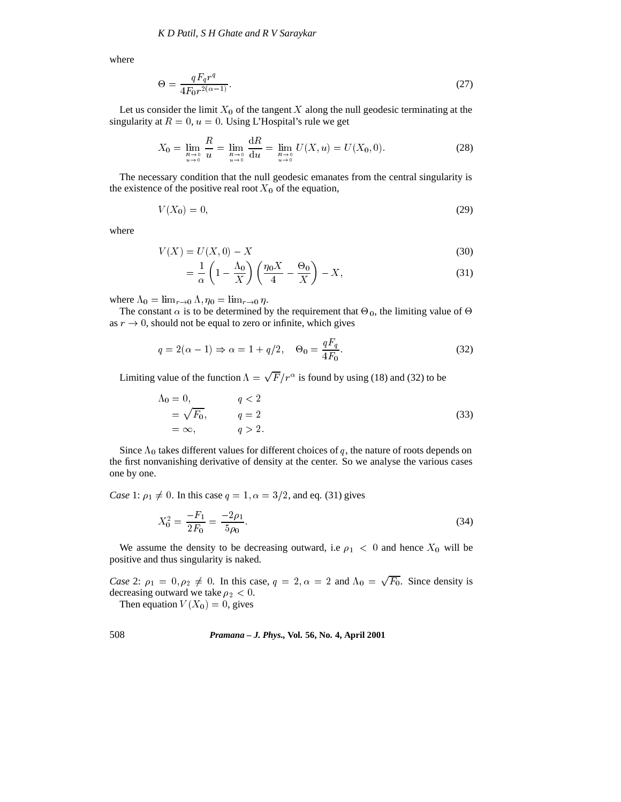where

$$
\Theta = \frac{qF_q r^q}{4F_0 r^{2(\alpha - 1)}}.\tag{27}
$$

Let us consider the limit  $X_0$  of the tangent  $X$  along the null geodesic terminating at the singularity at  $R = 0$ ,  $u = 0$ . Using L'Hospital's rule we get

$$
X_0 = \lim_{\substack{R \to 0 \\ u \to 0}} \frac{R}{u} = \lim_{\substack{R \to 0 \\ u \to 0}} \frac{dR}{du} = \lim_{\substack{R \to 0 \\ u \to 0}} U(X, u) = U(X_0, 0). \tag{28}
$$

The necessary condition that the null geodesic emanates from the central singularity is the existence of the positive real root  $X_0$  of the equation,

$$
V(X_0) = 0,\t\t(29)
$$

where

$$
V(X) = U(X,0) - X
$$
\n(30)

$$
= \frac{1}{\alpha} \left( 1 - \frac{\Lambda_0}{X} \right) \left( \frac{\eta_0 X}{4} - \frac{\Theta_0}{X} \right) - X,\tag{31}
$$

where  $\Lambda_0 = \lim_{r \to 0} \Lambda$ ,  $\eta_0 = \lim_{r \to 0} \eta$ .

The constant  $\alpha$  is to be determined by the requirement that  $\Theta_0$ , the limiting value of  $\Theta$ as  $r \to 0$ , should not be equal to zero or infinite, which gives

$$
q = 2(\alpha - 1) \Rightarrow \alpha = 1 + q/2, \quad \Theta_0 = \frac{qF_q}{4F_0}.
$$
\n(32)

Limiting value of the function  $\Lambda = \sqrt{F}/r^{\alpha}$  is found by using (18) and (32) to be

$$
\Lambda_0 = 0,
$$
  
\n
$$
q < 2
$$
  
\n
$$
= \sqrt{F_0},
$$
  
\n
$$
q = 2
$$
  
\n
$$
q > 2.
$$
\n(33)

Since  $\Lambda_0$  takes different values for different choices of q, the nature of roots depends on the first nonvanishing derivative of density at the center. So we analyse the various cases one by one.

*Case* 1:  $\rho_1 \neq 0$ . In this case  $q = 1$ ,  $\alpha = 3/2$ , and eq. (31) gives

$$
X_0^2 = \frac{-F_1}{2F_0} = \frac{-2\rho_1}{5\rho_0}.\tag{34}
$$

We assume the density to be decreasing outward, i.e  $\rho_1 < 0$  and hence  $X_0$  will be positive and thus singularity is naked.

*Case* 2:  $\rho_1 = 0, \rho_2 \neq 0$ . In this case,  $q = 2, \alpha = 2$  and  $\Lambda_0 = \sqrt{F_0}$ . Since density is decreasing outward we take  $\rho_2 < 0$ .

Then equation  $V(X_0)=0$ , gives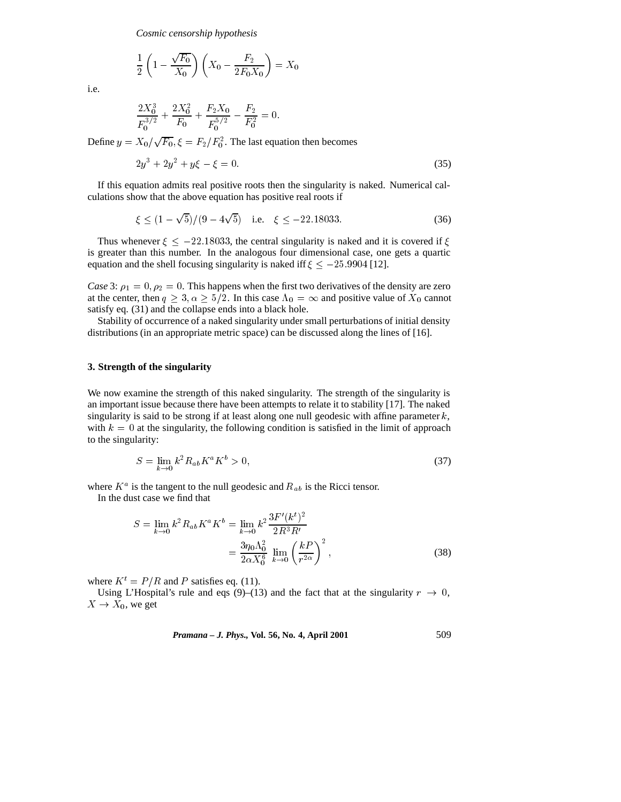$$
\frac{1}{2}\left(1-\frac{\sqrt{F_0}}{X_0}\right)\left(X_0 - \frac{F_2}{2F_0X_0}\right) = X_0
$$

i.e.

$$
\frac{2X_0^3}{F_0^{3/2}} + \frac{2X_0^2}{F_0} + \frac{F_2X_0}{F_0^{5/2}} - \frac{F_2}{F_0^2} = 0.
$$

Define  $y = X_0/\sqrt{F_0}$ ,  $\xi = F_2/F_0^2$ . The last equation then becomes

$$
2y^3 + 2y^2 + y\xi - \xi = 0.\tag{35}
$$

If this equation admits real positive roots then the singularity is naked. Numerical calculations show that the above equation has positive real roots if

$$
\xi \le (1 - \sqrt{5})/(9 - 4\sqrt{5}) \quad \text{i.e.} \quad \xi \le -22.18033. \tag{36}
$$

Thus whenever  $\xi \leq -22.18033$ , the central singularity is naked and it is covered if  $\xi$ is greater than this number. In the analogous four dimensional case, one gets a quartic equation and the shell focusing singularity is naked iff  $\xi \leq -25.9904$  [12].

*Case* 3:  $\rho_1 = 0$ ,  $\rho_2 = 0$ . This happens when the first two derivatives of the density are zero at the center, then  $q \geq 3, \alpha \geq \frac{5}{2}$ . In this case  $\Lambda_0 = \infty$  and positive value of  $X_0$  cannot satisfy eq. (31) and the collapse ends into a black hole.

Stability of occurrence of a naked singularity under small perturbations of initial density distributions (in an appropriate metric space) can be discussed along the lines of [16].

# **3. Strength of the singularity**

We now examine the strength of this naked singularity. The strength of the singularity is an important issue because there have been attempts to relate it to stability [17]. The naked singularity is said to be strong if at least along one null geodesic with affine parameter  $k$ , with  $k = 0$  at the singularity, the following condition is satisfied in the limit of approach to the singularity:

$$
S = \lim_{k \to 0} k^2 R_{ab} K^a K^b > 0,
$$
\n(37)

where  $K^a$  is the tangent to the null geodesic and  $R_{ab}$  is the Ricci tensor.

In the dust case we find that

$$
S = \lim_{k \to 0} k^2 R_{ab} K^a K^b = \lim_{k \to 0} k^2 \frac{3F'(k^t)^2}{2R^3 R'}
$$
  
= 
$$
\frac{3\eta_0 \Lambda_0^2}{2\alpha X_0^6} \lim_{k \to 0} \left(\frac{kP}{r^{2\alpha}}\right)^2,
$$
 (38)

where  $K^t = P/R$  and P satisfies eq. (11).

Using L'Hospital's rule and eqs (9)–(13) and the fact that at the singularity  $r \to 0$ ,  $X \to X_0$ , we get

*Pramana – J. Phys.,* **Vol. 56, No. 4, April 2001** 509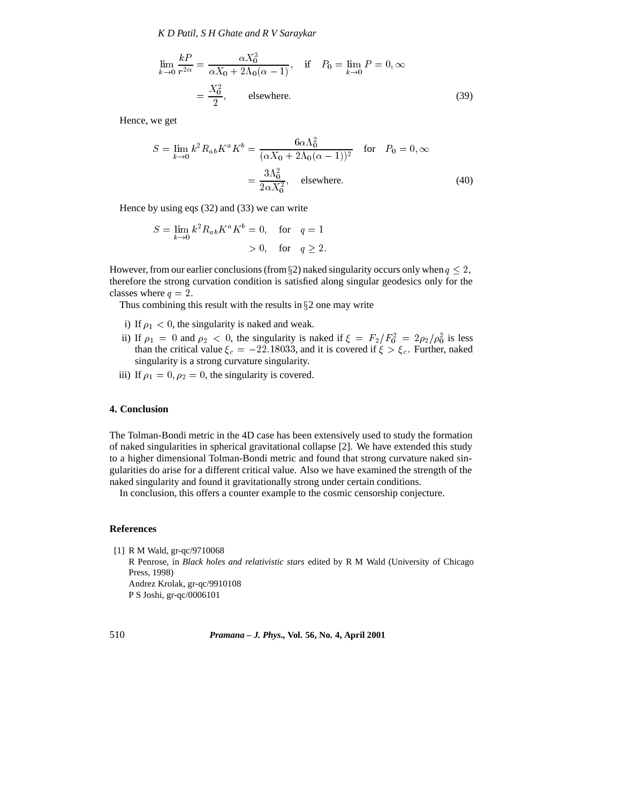*K D Patil, S H Ghate and R V Saraykar*

$$
\lim_{k \to 0} \frac{kP}{r^{2\alpha}} = \frac{\alpha X_0^3}{\alpha X_0 + 2\Lambda_0(\alpha - 1)}, \quad \text{if} \quad P_0 = \lim_{k \to 0} P = 0, \infty
$$
\n
$$
= \frac{X_0^2}{2}, \quad \text{elsewhere.} \tag{39}
$$

Hence, we get

$$
S = \lim_{k \to 0} k^2 R_{ab} K^a K^b = \frac{6\alpha \Lambda_0^2}{(\alpha X_0 + 2\Lambda_0 (\alpha - 1))^2} \quad \text{for} \quad P_0 = 0, \infty
$$

$$
= \frac{3\Lambda_0^2}{2\alpha X_0^2}, \quad \text{elsewhere.} \tag{40}
$$

Hence by using eqs (32) and (33) we can write

$$
S = \lim_{k \to 0} k^2 R_{ab} K^a K^b = 0, \quad \text{for} \quad q = 1
$$
  
> 0, for  $q \ge 2$ .

However, from our earlier conclusions (from §2) naked singularity occurs only when  $q \leq 2$ , therefore the strong curvation condition is satisfied along singular geodesics only for the classes where  $q = 2$ .

Thus combining this result with the results in  $\S2$  one may write

- i) If  $\rho_1 < 0$ , the singularity is naked and weak.
- ii) If  $\rho_1 = 0$  and  $\rho_2 < 0$ , the singularity is naked if  $\xi = F_2/F_0^2 = 2\rho_2/\rho_0^2$  is less than the critical value  $\xi_c = -22.18033$ , and it is covered if  $\xi > \xi_c$ . Further, naked singularity is a strong curvature singularity.
- iii) If  $\rho_1 = 0, \rho_2 = 0$ , the singularity is covered.

## **4. Conclusion**

The Tolman-Bondi metric in the 4D case has been extensively used to study the formation of naked singularities in spherical gravitational collapse [2]. We have extended this study to a higher dimensional Tolman-Bondi metric and found that strong curvature naked singularities do arise for a different critical value. Also we have examined the strength of the naked singularity and found it gravitationally strong under certain conditions.

In conclusion, this offers a counter example to the cosmic censorship conjecture.

## **References**

[1] R M Wald, gr-qc/9710068

R Penrose, in *Black holes and relativistic stars* edited by R M Wald (University of Chicago Press, 1998) Andrez Krolak, gr-qc/9910108 P S Joshi, gr-qc/0006101